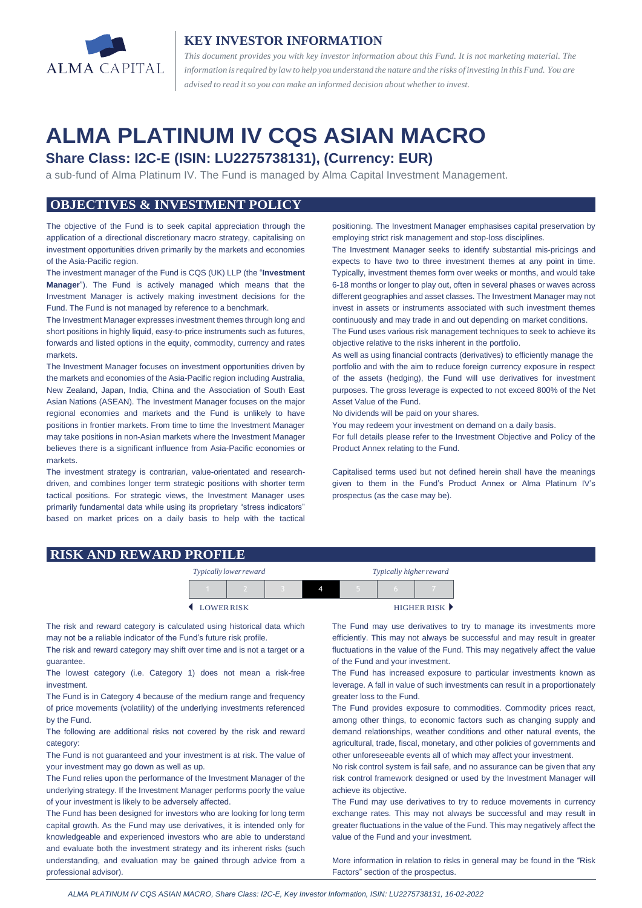

## **KEY INVESTOR INFORMATION**

*This document provides you with key investor information about this Fund. It is not marketing material. The* information is required by law to help you understand the nature and the risks of investing in this Fund. You are *advised to read it so you can make an informed decision about whetherto invest.*

# **ALMA PLATINUM IV CQS ASIAN MACRO**

## **Share Class: I2C-E (ISIN: LU2275738131), (Currency: EUR)**

a sub-fund of Alma Platinum IV. The Fund is managed by Alma Capital Investment Management.

## **OBJECTIVES & INVESTMENT POLICY**

The objective of the Fund is to seek capital appreciation through the application of a directional discretionary macro strategy, capitalising on investment opportunities driven primarily by the markets and economies of the Asia-Pacific region.

The investment manager of the Fund is CQS (UK) LLP (the "**Investment Manager**"). The Fund is actively managed which means that the Investment Manager is actively making investment decisions for the Fund. The Fund is not managed by reference to a benchmark.

The Investment Manager expresses investment themes through long and short positions in highly liquid, easy-to-price instruments such as futures, forwards and listed options in the equity, commodity, currency and rates markets.

The Investment Manager focuses on investment opportunities driven by the markets and economies of the Asia-Pacific region including Australia, New Zealand, Japan, India, China and the Association of South East Asian Nations (ASEAN). The Investment Manager focuses on the major regional economies and markets and the Fund is unlikely to have positions in frontier markets. From time to time the Investment Manager may take positions in non-Asian markets where the Investment Manager believes there is a significant influence from Asia-Pacific economies or markets.

The investment strategy is contrarian, value-orientated and researchdriven, and combines longer term strategic positions with shorter term tactical positions. For strategic views, the Investment Manager uses primarily fundamental data while using its proprietary "stress indicators" based on market prices on a daily basis to help with the tactical positioning. The Investment Manager emphasises capital preservation by employing strict risk management and stop-loss disciplines.

The Investment Manager seeks to identify substantial mis-pricings and expects to have two to three investment themes at any point in time. Typically, investment themes form over weeks or months, and would take 6-18 months or longer to play out, often in several phases or waves across different geographies and asset classes. The Investment Manager may not invest in assets or instruments associated with such investment themes continuously and may trade in and out depending on market conditions.

The Fund uses various risk management techniques to seek to achieve its objective relative to the risks inherent in the portfolio.

As well as using financial contracts (derivatives) to efficiently manage the portfolio and with the aim to reduce foreign currency exposure in respect of the assets (hedging), the Fund will use derivatives for investment purposes. The gross leverage is expected to not exceed 800% of the Net Asset Value of the Fund.

No dividends will be paid on your shares.

You may redeem your investment on demand on a daily basis.

For full details please refer to the Investment Objective and Policy of the Product Annex relating to the Fund.

Capitalised terms used but not defined herein shall have the meanings given to them in the Fund's Product Annex or Alma Platinum IV's prospectus (as the case may be).

#### **RISK AND REWARD PROFILE**

|           | Typically lower reward |  | Typically higher reward |  |  |             |
|-----------|------------------------|--|-------------------------|--|--|-------------|
|           |                        |  |                         |  |  |             |
| LOWERRISK |                        |  |                         |  |  | HIGHER RISK |

The risk and reward category is calculated using historical data which may not be a reliable indicator of the Fund's future risk profile.

The risk and reward category may shift over time and is not a target or a guarantee.

The lowest category (i.e. Category 1) does not mean a risk-free investment.

The Fund is in Category 4 because of the medium range and frequency of price movements (volatility) of the underlying investments referenced by the Fund.

The following are additional risks not covered by the risk and reward category:

The Fund is not guaranteed and your investment is at risk. The value of your investment may go down as well as up.

The Fund relies upon the performance of the Investment Manager of the underlying strategy. If the Investment Manager performs poorly the value of your investment is likely to be adversely affected.

The Fund has been designed for investors who are looking for long term capital growth. As the Fund may use derivatives, it is intended only for knowledgeable and experienced investors who are able to understand and evaluate both the investment strategy and its inherent risks (such understanding, and evaluation may be gained through advice from a professional advisor).

The Fund may use derivatives to try to manage its investments more efficiently. This may not always be successful and may result in greater fluctuations in the value of the Fund. This may negatively affect the value of the Fund and your investment.

The Fund has increased exposure to particular investments known as leverage. A fall in value of such investments can result in a proportionately greater loss to the Fund.

The Fund provides exposure to commodities. Commodity prices react, among other things, to economic factors such as changing supply and demand relationships, weather conditions and other natural events, the agricultural, trade, fiscal, monetary, and other policies of governments and other unforeseeable events all of which may affect your investment.

No risk control system is fail safe, and no assurance can be given that any risk control framework designed or used by the Investment Manager will achieve its objective.

The Fund may use derivatives to try to reduce movements in currency exchange rates. This may not always be successful and may result in greater fluctuations in the value of the Fund. This may negatively affect the value of the Fund and your investment.

More information in relation to risks in general may be found in the "Risk Factors" section of the prospectus.